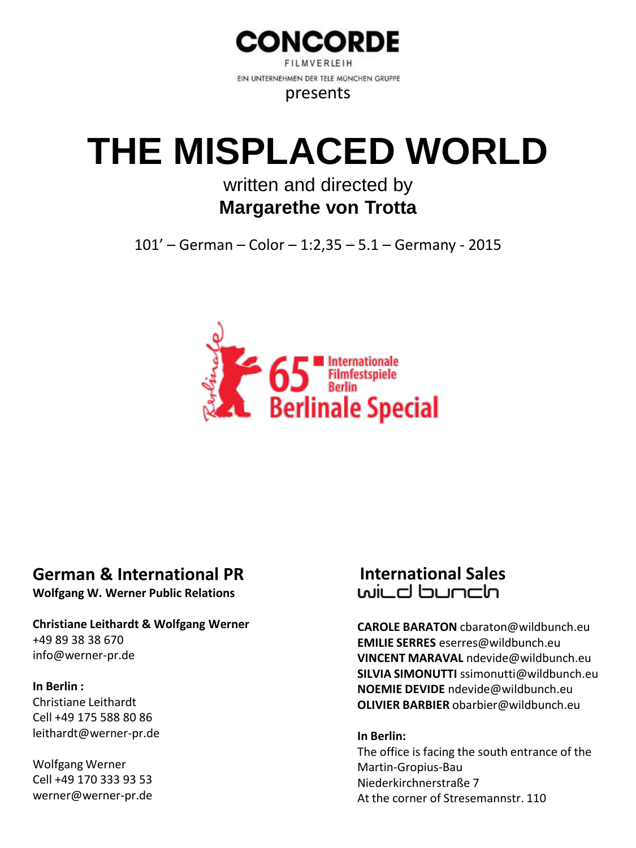

**FILMVERIEIH** EIN UNTERNEHMEN DER TELE MÜNCHEN GRUPPE

presents

# **THE MISPLACED WORLD**

## written and directed by **Margarethe von Trotta**

101' – German – Color – 1:2,35 – 5.1 – Germany - 2015



## **German & International PR**

**Wolfgang W. Werner Public Relations**

#### **Christiane Leithardt & Wolfgang Werner** +49 89 38 38 670 info@werner-pr.de

### **In Berlin :**

Christiane Leithardt Cell +49 175 588 80 86 leithardt@werner-pr.de

Wolfgang Werner Cell +49 170 333 93 53 werner@werner-pr.de

# **International Sales**

**CAROLE BARATON** cbaraton@wildbunch.eu **EMILIE SERRES** eserres@wildbunch.eu **VINCENT MARAVAL** ndevide@wildbunch.eu **SILVIA SIMONUTTI** ssimonutti@wildbunch.eu **NOEMIE DEVIDE** ndevide@wildbunch.eu **OLIVIER BARBIER** obarbier@wildbunch.eu

#### **In Berlin:**

The office is facing the south entrance of the Martin-Gropius-Bau Niederkirchnerstraße 7 At the corner of Stresemannstr. 110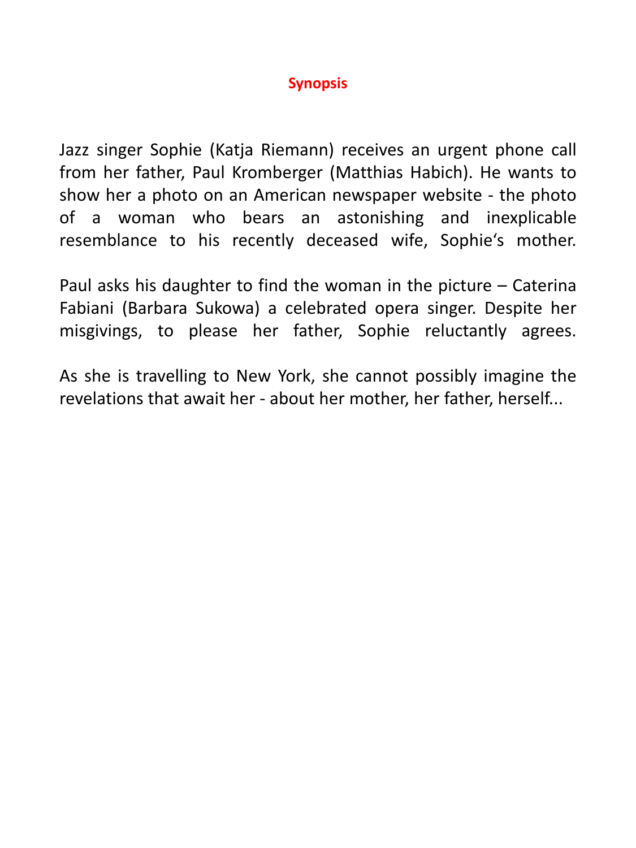### **Synopsis**

Jazz singer Sophie (Katja Riemann) receives an urgent phone call from her father, Paul Kromberger (Matthias Habich). He wants to show her a photo on an American newspaper website - the photo of a woman who bears an astonishing and inexplicable resemblance to his recently deceased wife, Sophie's mother.

Paul asks his daughter to find the woman in the picture – Caterina Fabiani (Barbara Sukowa) a celebrated opera singer. Despite her misgivings, to please her father, Sophie reluctantly agrees.

As she is travelling to New York, she cannot possibly imagine the revelations that await her - about her mother, her father, herself...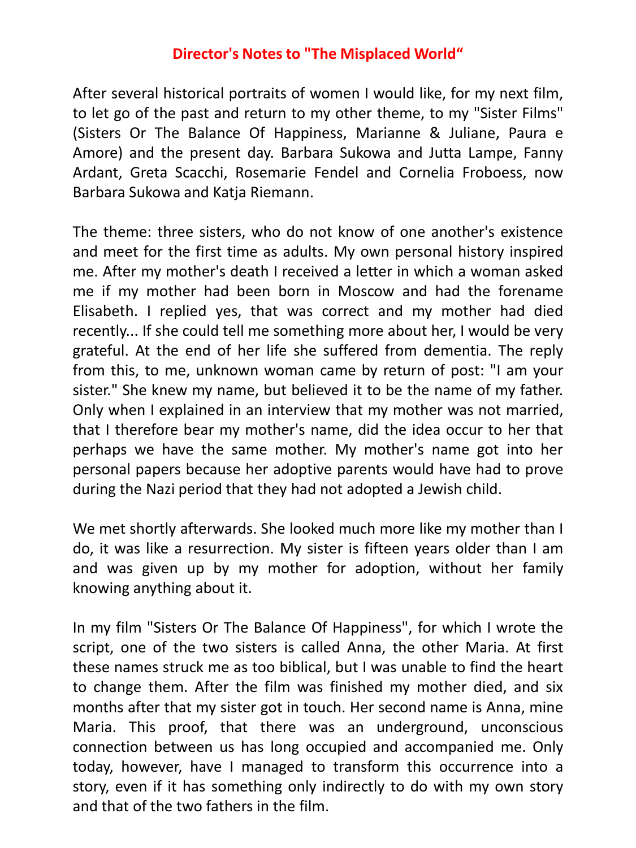### **Director's Notes to "The Misplaced World"**

After several historical portraits of women I would like, for my next film, to let go of the past and return to my other theme, to my "Sister Films" (Sisters Or The Balance Of Happiness, Marianne & Juliane, Paura e Amore) and the present day. Barbara Sukowa and Jutta Lampe, Fanny Ardant, Greta Scacchi, Rosemarie Fendel and Cornelia Froboess, now Barbara Sukowa and Katja Riemann.

The theme: three sisters, who do not know of one another's existence and meet for the first time as adults. My own personal history inspired me. After my mother's death I received a letter in which a woman asked me if my mother had been born in Moscow and had the forename Elisabeth. I replied yes, that was correct and my mother had died recently... If she could tell me something more about her, I would be very grateful. At the end of her life she suffered from dementia. The reply from this, to me, unknown woman came by return of post: "I am your sister." She knew my name, but believed it to be the name of my father. Only when I explained in an interview that my mother was not married, that I therefore bear my mother's name, did the idea occur to her that perhaps we have the same mother. My mother's name got into her personal papers because her adoptive parents would have had to prove during the Nazi period that they had not adopted a Jewish child.

We met shortly afterwards. She looked much more like my mother than I do, it was like a resurrection. My sister is fifteen years older than I am and was given up by my mother for adoption, without her family knowing anything about it.

In my film "Sisters Or The Balance Of Happiness", for which I wrote the script, one of the two sisters is called Anna, the other Maria. At first these names struck me as too biblical, but I was unable to find the heart to change them. After the film was finished my mother died, and six months after that my sister got in touch. Her second name is Anna, mine Maria. This proof, that there was an underground, unconscious connection between us has long occupied and accompanied me. Only today, however, have I managed to transform this occurrence into a story, even if it has something only indirectly to do with my own story and that of the two fathers in the film.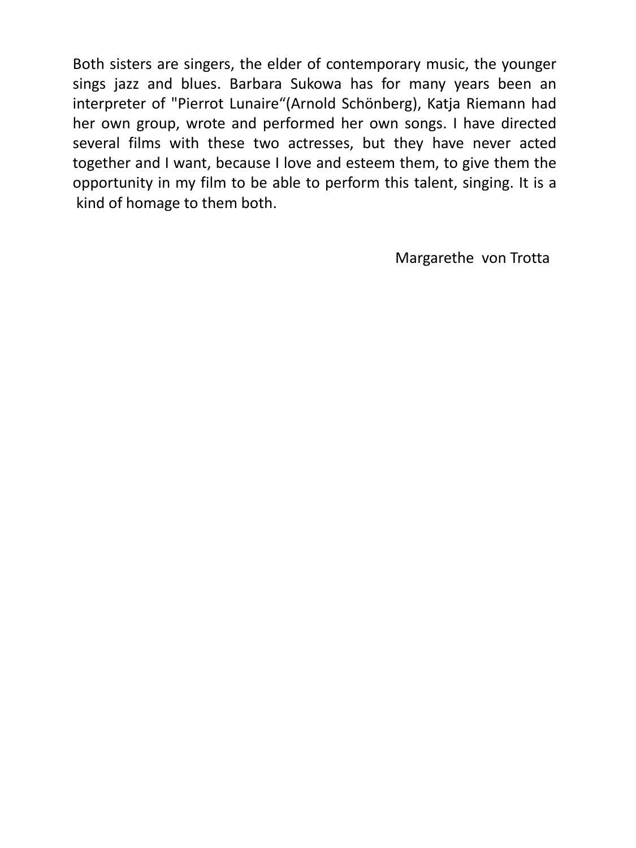Both sisters are singers, the elder of contemporary music, the younger sings jazz and blues. Barbara Sukowa has for many years been an interpreter of "Pierrot Lunaire"(Arnold Schönberg), Katja Riemann had her own group, wrote and performed her own songs. I have directed several films with these two actresses, but they have never acted together and I want, because I love and esteem them, to give them the opportunity in my film to be able to perform this talent, singing. It is a kind of homage to them both.

Margarethe von Trotta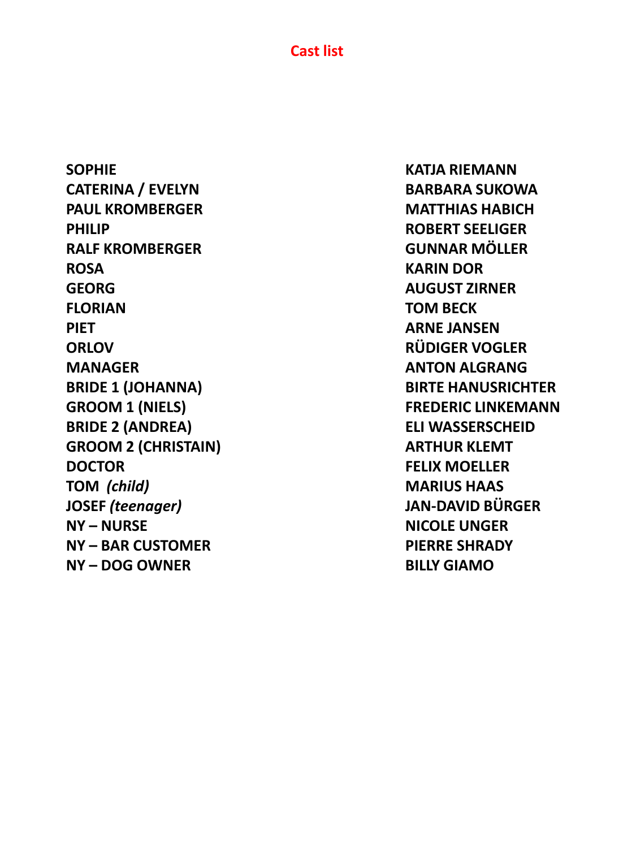**Cast list**

**SOPHIE KATJA RIEMANN CATERINA / EVELYN BARBARA SUKOWA PAUL KROMBERGER MATTHIAS HABICH PHILIP ROBERT SEELIGER RALF KROMBERGER GUNNAR MÖLLER ROSA KARIN DOR GEORG AUGUST ZIRNER FLORIAN TOM BECK PIET ARNE JANSEN ORLOV RÜDIGER VOGLER MANAGER ANTON ALGRANG BRIDE 1 (JOHANNA) BIRTE HANUSRICHTER GROOM 1 (NIELS) FREDERIC LINKEMANN BRIDE 2 (ANDREA) ELI WASSERSCHEID GROOM 2 (CHRISTAIN) ARTHUR KLEMT DOCTOR FELIX MOELLER TOM** *(child)* **MARIUS HAAS JOSEF** *(teenager)* **JAN-DAVID BÜRGER NY – NURSE NICOLE UNGER NY – BAR CUSTOMER PIERRE SHRADY NY – DOG OWNER BILLY GIAMO**